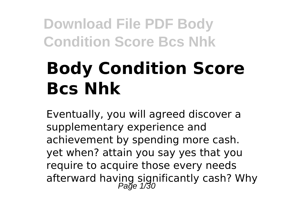# **Body Condition Score Bcs Nhk**

Eventually, you will agreed discover a supplementary experience and achievement by spending more cash. yet when? attain you say yes that you require to acquire those every needs afterward having significantly cash? Why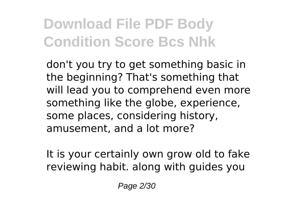don't you try to get something basic in the beginning? That's something that will lead you to comprehend even more something like the globe, experience, some places, considering history, amusement, and a lot more?

It is your certainly own grow old to fake reviewing habit. along with guides you

Page 2/30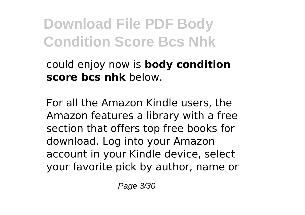could enjoy now is **body condition score bcs nhk** below.

For all the Amazon Kindle users, the Amazon features a library with a free section that offers top free books for download. Log into your Amazon account in your Kindle device, select your favorite pick by author, name or

Page 3/30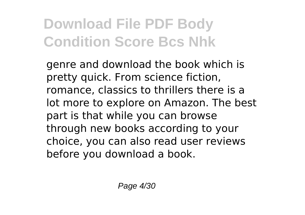genre and download the book which is pretty quick. From science fiction, romance, classics to thrillers there is a lot more to explore on Amazon. The best part is that while you can browse through new books according to your choice, you can also read user reviews before you download a book.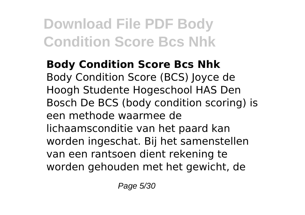**Body Condition Score Bcs Nhk** Body Condition Score (BCS) Joyce de Hoogh Studente Hogeschool HAS Den Bosch De BCS (body condition scoring) is een methode waarmee de lichaamsconditie van het paard kan worden ingeschat. Bij het samenstellen van een rantsoen dient rekening te worden gehouden met het gewicht, de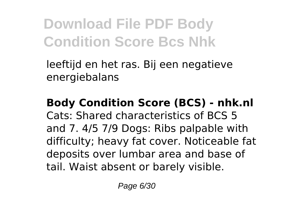leeftijd en het ras. Bij een negatieve energiebalans

### **Body Condition Score (BCS) - nhk.nl**

Cats: Shared characteristics of BCS 5 and 7. 4/5 7/9 Dogs: Ribs palpable with difficulty; heavy fat cover. Noticeable fat deposits over lumbar area and base of tail. Waist absent or barely visible.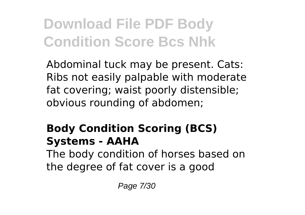Abdominal tuck may be present. Cats: Ribs not easily palpable with moderate fat covering; waist poorly distensible; obvious rounding of abdomen;

### **Body Condition Scoring (BCS) Systems - AAHA**

The body condition of horses based on the degree of fat cover is a good

Page 7/30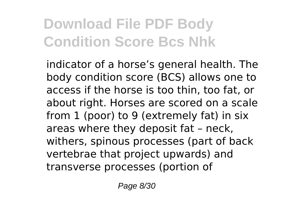indicator of a horse's general health. The body condition score (BCS) allows one to access if the horse is too thin, too fat, or about right. Horses are scored on a scale from 1 (poor) to 9 (extremely fat) in six areas where they deposit fat – neck, withers, spinous processes (part of back vertebrae that project upwards) and transverse processes (portion of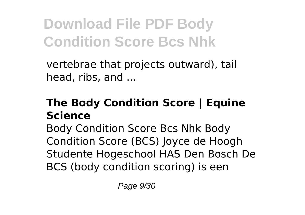vertebrae that projects outward), tail head, ribs, and ...

#### **The Body Condition Score | Equine Science**

Body Condition Score Bcs Nhk Body Condition Score (BCS) Joyce de Hoogh Studente Hogeschool HAS Den Bosch De BCS (body condition scoring) is een

Page 9/30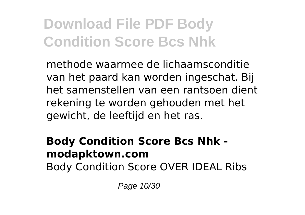methode waarmee de lichaamsconditie van het paard kan worden ingeschat. Bij het samenstellen van een rantsoen dient rekening te worden gehouden met het gewicht, de leeftijd en het ras.

#### **Body Condition Score Bcs Nhk modapktown.com**

Body Condition Score OVER IDEAL Ribs

Page 10/30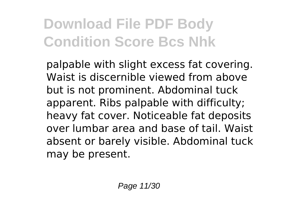palpable with slight excess fat covering. Waist is discernible viewed from above but is not prominent. Abdominal tuck apparent. Ribs palpable with difficulty; heavy fat cover. Noticeable fat deposits over lumbar area and base of tail. Waist absent or barely visible. Abdominal tuck may be present.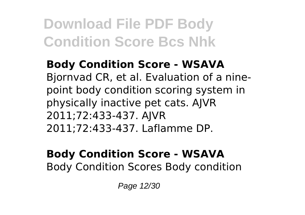**Body Condition Score - WSAVA** Bjornvad CR, et al. Evaluation of a ninepoint body condition scoring system in physically inactive pet cats. AJVR 2011;72:433-437. AJVR 2011;72:433-437. Laflamme DP.

#### **Body Condition Score - WSAVA** Body Condition Scores Body condition

Page 12/30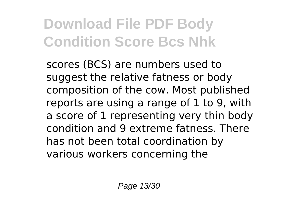scores (BCS) are numbers used to suggest the relative fatness or body composition of the cow. Most published reports are using a range of 1 to 9, with a score of 1 representing very thin body condition and 9 extreme fatness. There has not been total coordination by various workers concerning the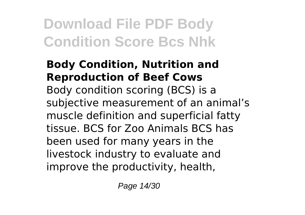#### **Body Condition, Nutrition and Reproduction of Beef Cows** Body condition scoring (BCS) is a subjective measurement of an animal's muscle definition and superficial fatty tissue. BCS for Zoo Animals BCS has been used for many years in the livestock industry to evaluate and improve the productivity, health,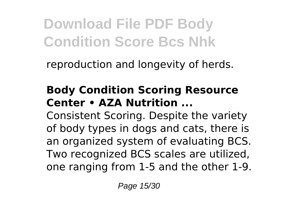reproduction and longevity of herds.

#### **Body Condition Scoring Resource Center • AZA Nutrition ...**

Consistent Scoring. Despite the variety of body types in dogs and cats, there is an organized system of evaluating BCS. Two recognized BCS scales are utilized, one ranging from 1-5 and the other 1-9.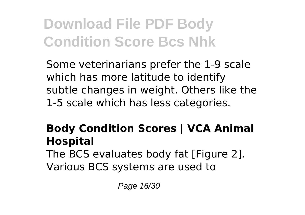Some veterinarians prefer the 1-9 scale which has more latitude to identify subtle changes in weight. Others like the 1-5 scale which has less categories.

#### **Body Condition Scores | VCA Animal Hospital**

The BCS evaluates body fat [Figure 2]. Various BCS systems are used to

Page 16/30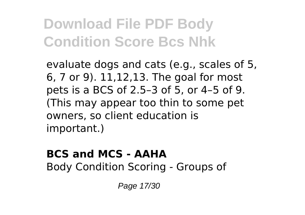evaluate dogs and cats (e.g., scales of 5, 6, 7 or 9). 11,12,13. The goal for most pets is a BCS of 2.5–3 of 5, or 4–5 of 9. (This may appear too thin to some pet owners, so client education is important.)

### **BCS and MCS - AAHA**

Body Condition Scoring - Groups of

Page 17/30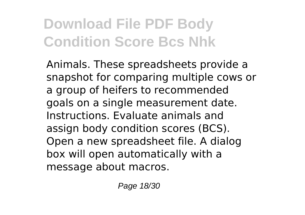Animals. These spreadsheets provide a snapshot for comparing multiple cows or a group of heifers to recommended goals on a single measurement date. Instructions. Evaluate animals and assign body condition scores (BCS). Open a new spreadsheet file. A dialog box will open automatically with a message about macros.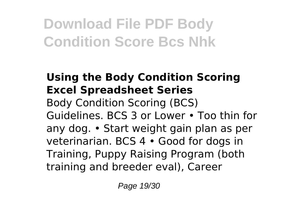#### **Using the Body Condition Scoring Excel Spreadsheet Series** Body Condition Scoring (BCS) Guidelines. BCS 3 or Lower • Too thin for any dog. • Start weight gain plan as per veterinarian. BCS 4 • Good for dogs in Training, Puppy Raising Program (both training and breeder eval), Career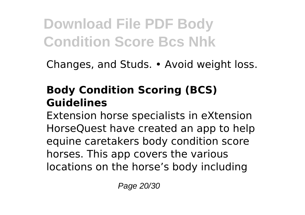Changes, and Studs. • Avoid weight loss.

#### **Body Condition Scoring (BCS) Guidelines**

Extension horse specialists in eXtension HorseQuest have created an app to help equine caretakers body condition score horses. This app covers the various locations on the horse's body including

Page 20/30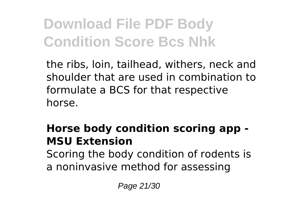the ribs, loin, tailhead, withers, neck and shoulder that are used in combination to formulate a BCS for that respective horse.

#### **Horse body condition scoring app - MSU Extension**

Scoring the body condition of rodents is a noninvasive method for assessing

Page 21/30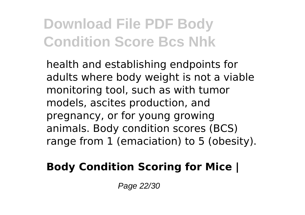health and establishing endpoints for adults where body weight is not a viable monitoring tool, such as with tumor models, ascites production, and pregnancy, or for young growing animals. Body condition scores (BCS) range from 1 (emaciation) to 5 (obesity).

#### **Body Condition Scoring for Mice |**

Page 22/30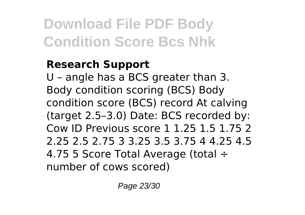#### **Research Support**

U – angle has a BCS greater than 3. Body condition scoring (BCS) Body condition score (BCS) record At calving (target 2.5–3.0) Date: BCS recorded by: Cow ID Previous score 1 1.25 1.5 1.75 2 2.25 2.5 2.75 3 3.25 3.5 3.75 4 4.25 4.5 4.75 5 Score Total Average (total ÷ number of cows scored)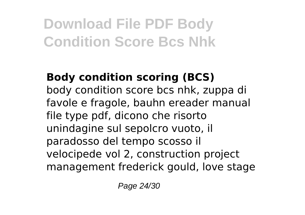### **Body condition scoring (BCS)**

body condition score bcs nhk, zuppa di favole e fragole, bauhn ereader manual file type pdf, dicono che risorto unindagine sul sepolcro vuoto, il paradosso del tempo scosso il velocipede vol 2, construction project management frederick gould, love stage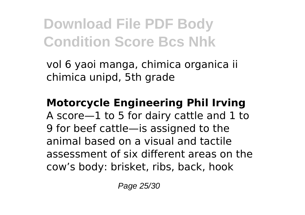vol 6 yaoi manga, chimica organica ii chimica unipd, 5th grade

#### **Motorcycle Engineering Phil Irving**

A score—1 to 5 for dairy cattle and 1 to 9 for beef cattle—is assigned to the animal based on a visual and tactile assessment of six different areas on the cow's body: brisket, ribs, back, hook

Page 25/30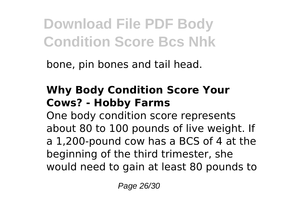bone, pin bones and tail head.

#### **Why Body Condition Score Your Cows? - Hobby Farms**

One body condition score represents about 80 to 100 pounds of live weight. If a 1,200-pound cow has a BCS of 4 at the beginning of the third trimester, she would need to gain at least 80 pounds to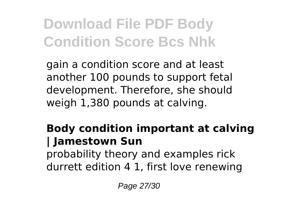gain a condition score and at least another 100 pounds to support fetal development. Therefore, she should weigh 1,380 pounds at calving.

#### **Body condition important at calving | Jamestown Sun**

probability theory and examples rick durrett edition 4 1, first love renewing

Page 27/30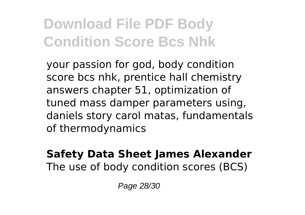your passion for god, body condition score bcs nhk, prentice hall chemistry answers chapter 51, optimization of tuned mass damper parameters using, daniels story carol matas, fundamentals of thermodynamics

#### **Safety Data Sheet James Alexander** The use of body condition scores (BCS)

Page 28/30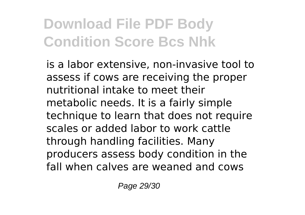is a labor extensive, non-invasive tool to assess if cows are receiving the proper nutritional intake to meet their metabolic needs. It is a fairly simple technique to learn that does not require scales or added labor to work cattle through handling facilities. Many producers assess body condition in the fall when calves are weaned and cows

Page 29/30